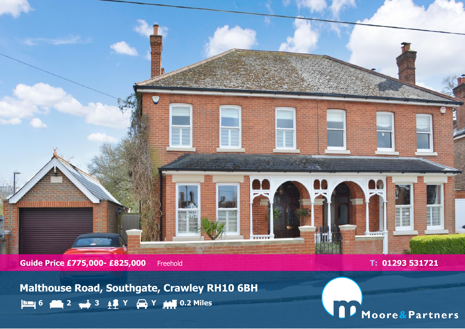

**Guide Price £775,000- £825,000** Freehold **T: 01293 531721** 

**Malthouse Road, Southgate, Crawley RH10 6BH 6 2 3 Y Y 0.2 Miles**

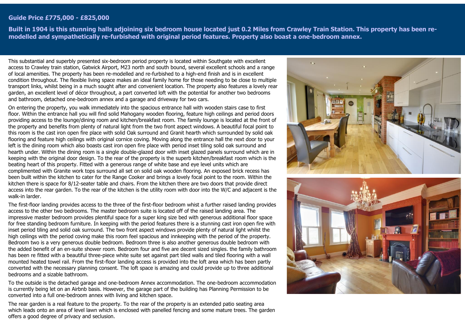## **Guide Price £775,000 - £825,000**

**Built in 1904 is this stunning halls adjoining six bedroom house located just 0.2 Miles from Crawley Train Station. This property has been remodelled and sympathetically re-furbished with original period features. Property also boast a one-bedroom annex.**

This substantial and superbly presented six-bedroom period property is located within Southgate with excellent access to Crawley train station, Gatwick Airport, M23 north and south bound, several excellent schools and a range of local amenities. The property has been re-modelled and re-furbished to a high-end finish and is in excellent condition throughout. The flexible living space makes an ideal family home for those needing to be close to multiple transport links, whilst being in a much sought after and convenient location. The property also features a lovely rear garden, an excellent level of décor throughout, a part converted loft with the potential for another two bedrooms and bathroom, detached one-bedroom annex and a garage and driveway for two cars.

On entering the property, you walk immediately into the spacious entrance hall with wooden stairs case to first floor. Within the entrance hall you will find solid Mahogany wooden flooring, feature high ceilings and period doors providing access to the lounge/dining room and kitchen/breakfast room. The family lounge is located at the front of the property and benefits from plenty of natural light from the two front aspect windows. A beautiful focal point to this room is the cast iron open fire place with solid Oak surround and Granit hearth which surrounded by solid oak flooring and feature high ceilings with original cornice coving. Moving along the entrance hall the next door to your left is the dining room which also boasts cast iron open fire place with period inset tiling solid oak surround and hearth under. Within the dining room is a single double-glazed door with inset glazed panels surround which are in keeping with the original door design. To the rear of the property is the superb kitchen/breakfast room which is the beating heart of this property. Fitted with a generous range of white base and eye level units which are complimented with Granite work tops surround all set on solid oak wooden flooring. An exposed brick recess has been built within the kitchen to cater for the Range Cooker and brings a lovely focal point to the room. Within the kitchen there is space for 8/12-seater table and chairs. From the kitchen there are two doors that provide direct access into the rear garden. To the rear of the kitchen is the utility room with door into the W/C and adjacent is the walk-in larder.

The first-floor landing provides access to the three of the first-floor bedroom whist a further raised landing provides access to the other two bedrooms. The master bedroom suite is located off of the raised landing area. The impressive master bedroom provides plentiful space for a super king size bed with generous additional floor space for free standing bedroom furniture. In keeping with the period features there is a stunning cast iron open fire with inset period tiling and solid oak surround. The two front aspect windows provide plenty of natural light whilst the high ceilings with the period coving make this room feel spacious and innkeeping with the period of the property. Bedroom two is a very generous double bedroom. Bedroom three is also another generous double bedroom with the added benefit of an en-suite shower room. Bedroom four and five are decent sized singles. the family bathroom has been re fitted with a beautiful three-piece white suite set against part tiled walls and tiled flooring with a wall mounted heated towel rail. From the first-floor landing access is provided into the loft area which has been partly converted with the necessary planning consent. The loft space is amazing and could provide up to three additional bedrooms and a sizable bathroom.

To the outside is the detached garage and one-bedroom Annex accommodation. The one-bedroom accommodation is currently being let on an Airbnb basis. However, the garage part of the building has Planning Permission to be converted into a full one-bedroom annex with living and kitchen space.

The rear garden is a real feature to the property. To the rear of the property is an extended patio seating area which leads onto an area of level lawn which is enclosed with panelled fencing and some mature trees. The garden offers a good degree of privacy and seclusion.



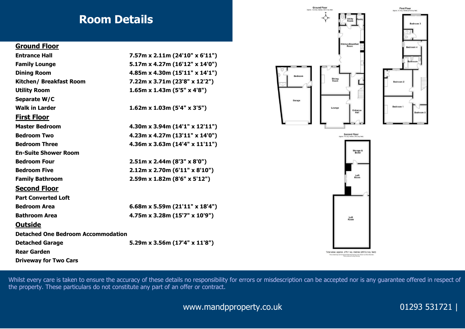## **Room Details**

## **Ground Floor**

| <b>Entrance Hall</b>                      | $7.57m \times 2.11m (24'10'' \times 6'11'')$ |
|-------------------------------------------|----------------------------------------------|
| <b>Family Lounge</b>                      | 5.17m x 4.27m (16'12" x 14'0")               |
| <b>Dining Room</b>                        | 4.85m x 4.30m (15'11" x 14'1")               |
| Kitchen/ Breakfast Room                   | 7.22m x 3.71m (23'8" x 12'2")                |
| <b>Utility Room</b>                       | $1.65m \times 1.43m (5'5" \times 4'8")$      |
| Separate W/C                              |                                              |
| <b>Walk in Larder</b>                     | $1.62m \times 1.03m (5'4" \times 3'5")$      |
| <b>First Floor</b>                        |                                              |
| <b>Master Bedroom</b>                     | $4.30m \times 3.94m (14'1'' \times 12'11'')$ |
| <b>Bedroom Two</b>                        | $4.23m \times 4.27m (13'11'' \times 14'0'')$ |
| <b>Bedroom Three</b>                      | 4.36m x 3.63m (14'4" x 11'11")               |
| <b>En-Suite Shower Room</b>               |                                              |
| <b>Bedroom Four</b>                       | $2.51m \times 2.44m (8'3" \times 8'0")$      |
| <b>Bedroom Five</b>                       | $2.12m \times 2.70m (6'11'' \times 8'10'')$  |
| <b>Family Bathroom</b>                    | $2.59m \times 1.82m (8'6'' \times 5'12'')$   |
| <b>Second Floor</b>                       |                                              |
| <b>Part Converted Loft</b>                |                                              |
| <b>Bedroom Area</b>                       | 6.68m x 5.59m (21'11" x 18'4")               |
| <b>Bathroom Area</b>                      | 4.75m x 3.28m (15'7" x 10'9")                |
| <b>Outside</b>                            |                                              |
| <b>Detached One Bedroom Accommodation</b> |                                              |
| <b>Detached Garage</b>                    | 5.29m x 3.56m (17'4" x 11'8")                |
| <b>Rear Garden</b>                        |                                              |
| <b>Driveway for Two Cars</b>              |                                              |



Bedroon

Garage



**Bedroom** 

Bedroom 4